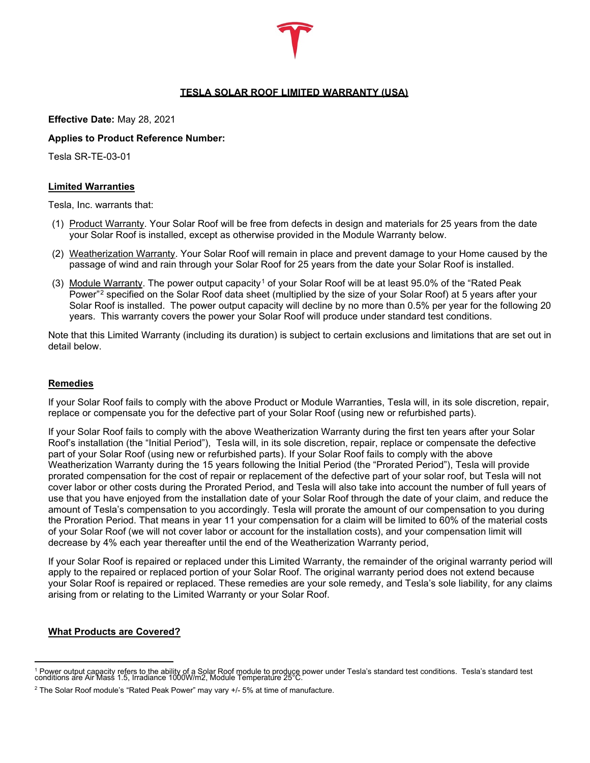# **TESLA SOLAR ROOF LIMITED WARRANTY (USA)**

**Effective Date:** May 28, 2021

# **Applies to Product Reference Number:**

Tesla SR-TE-03-01

# **Limited Warranties**

Tesla, Inc. warrants that:

- (1) Product Warranty. Your Solar Roof will be free from defects in design and materials for 25 years from the date your Solar Roof is installed, except as otherwise provided in the Module Warranty below.
- (2) Weatherization Warranty. Your Solar Roof will remain in place and prevent damage to your Home caused by the passage of wind and rain through your Solar Roof for 25 years from the date your Solar Roof is installed.
- (3) Module Warranty. The power output capacity<sup>[1](#page-0-0)</sup> of your Solar Roof will be at least 95.0% of the "Rated Peak Power"[2](#page-0-1) specified on the Solar Roof data sheet (multiplied by the size of your Solar Roof) at 5 years after your Solar Roof is installed. The power output capacity will decline by no more than 0.5% per year for the following 20 years. This warranty covers the power your Solar Roof will produce under standard test conditions.

Note that this Limited Warranty (including its duration) is subject to certain exclusions and limitations that are set out in detail below.

# **Remedies**

If your Solar Roof fails to comply with the above Product or Module Warranties, Tesla will, in its sole discretion, repair, replace or compensate you for the defective part of your Solar Roof (using new or refurbished parts).

If your Solar Roof fails to comply with the above Weatherization Warranty during the first ten years after your Solar Roof's installation (the "Initial Period"), Tesla will, in its sole discretion, repair, replace or compensate the defective part of your Solar Roof (using new or refurbished parts). If your Solar Roof fails to comply with the above Weatherization Warranty during the 15 years following the Initial Period (the "Prorated Period"), Tesla will provide prorated compensation for the cost of repair or replacement of the defective part of your solar roof, but Tesla will not cover labor or other costs during the Prorated Period, and Tesla will also take into account the number of full years of use that you have enjoyed from the installation date of your Solar Roof through the date of your claim, and reduce the amount of Tesla's compensation to you accordingly. Tesla will prorate the amount of our compensation to you during the Proration Period. That means in year 11 your compensation for a claim will be limited to 60% of the material costs of your Solar Roof (we will not cover labor or account for the installation costs), and your compensation limit will decrease by 4% each year thereafter until the end of the Weatherization Warranty period,

If your Solar Roof is repaired or replaced under this Limited Warranty, the remainder of the original warranty period will apply to the repaired or replaced portion of your Solar Roof. The original warranty period does not extend because your Solar Roof is repaired or replaced. These remedies are your sole remedy, and Tesla's sole liability, for any claims arising from or relating to the Limited Warranty or your Solar Roof.

# **What Products are Covered?**

<span id="page-0-0"></span><sup>&</sup>lt;sup>1</sup> Power output capacity refers to the ability of a Solar Roof module to produce power under Tesla's standard test<br>conditions are Air Mass 1.5, Irradiance 1000W/m2, Module Temperature 25°C.

<span id="page-0-1"></span><sup>2</sup> The Solar Roof module's "Rated Peak Power" may vary +/- 5% at time of manufacture.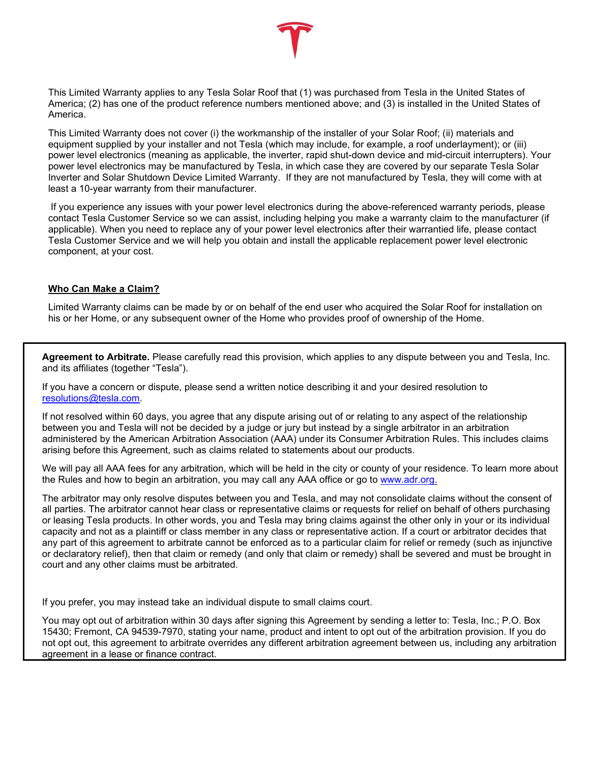

This Limited Warranty applies to any Tesla Solar Roof that (1) was purchased from Tesla in the United States of America; (2) has one of the product reference numbers mentioned above; and (3) is installed in the United States of America.

This Limited Warranty does not cover (i) the workmanship of the installer of your Solar Roof; (ii) materials and equipment supplied by your installer and not Tesla (which may include, for example, a roof underlayment); or (iii) power level electronics (meaning as applicable, the inverter, rapid shut-down device and mid-circuit interrupters). Your power level electronics may be manufactured by Tesla, in which case they are covered by our separate Tesla Solar Inverter and Solar Shutdown Device Limited Warranty. If they are not manufactured by Tesla, they will come with at least a 10-year warranty from their manufacturer.

If you experience any issues with your power level electronics during the above-referenced warranty periods, please contact Tesla Customer Service so we can assist, including helping you make a warranty claim to the manufacturer (if applicable). When you need to replace any of your power level electronics after their warrantied life, please contact Tesla Customer Service and we will help you obtain and install the applicable replacement power level electronic component, at your cost.

# **Who Can Make a Claim?**

Limited Warranty claims can be made by or on behalf of the end user who acquired the Solar Roof for installation on his or her Home, or any subsequent owner of the Home who provides proof of ownership of the Home.

**Agreement to Arbitrate.** Please carefully read this provision, which applies to any dispute between you and Tesla, Inc. and its affiliates (together "Tesla").

If you have a concern or dispute, please send a written notice describing it and your desired resolution to [resolutions@tesla.com.](mailto:energyresolutions@tesla.com)

If not resolved within 60 days, you agree that any dispute arising out of or relating to any aspect of the relationship between you and Tesla will not be decided by a judge or jury but instead by a single arbitrator in an arbitration administered by the American Arbitration Association (AAA) under its Consumer Arbitration Rules. This includes claims arising before this Agreement, such as claims related to statements about our products.

We will pay all AAA fees for any arbitration, which will be held in the city or county of your residence. To learn more about the Rules and how to begin an arbitration, you may call any AAA office or go to [www.adr.org.](http://www.adr.org/)

The arbitrator may only resolve disputes between you and Tesla, and may not consolidate claims without the consent of all parties. The arbitrator cannot hear class or representative claims or requests for relief on behalf of others purchasing or leasing Tesla products. In other words, you and Tesla may bring claims against the other only in your or its individual capacity and not as a plaintiff or class member in any class or representative action. If a court or arbitrator decides that any part of this agreement to arbitrate cannot be enforced as to a particular claim for relief or remedy (such as injunctive or declaratory relief), then that claim or remedy (and only that claim or remedy) shall be severed and must be brought in court and any other claims must be arbitrated.

If you prefer, you may instead take an individual dispute to small claims court.

You may opt out of arbitration within 30 days after signing this Agreement by sending a letter to: Tesla, Inc.; P.O. Box 15430; Fremont, CA 94539-7970, stating your name, product and intent to opt out of the arbitration provision. If you do not opt out, this agreement to arbitrate overrides any different arbitration agreement between us, including any arbitration agreement in a lease or finance contract.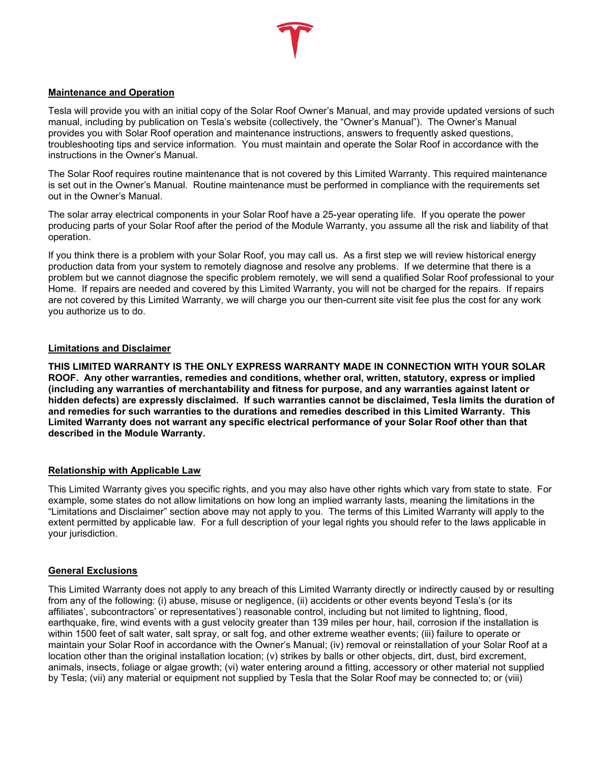

#### **Maintenance and Operation**

Tesla will provide you with an initial copy of the Solar Roof Owner's Manual, and may provide updated versions of such manual, including by publication on Tesla's website (collectively, the "Owner's Manual"). The Owner's Manual provides you with Solar Roof operation and maintenance instructions, answers to frequently asked questions, troubleshooting tips and service information. You must maintain and operate the Solar Roof in accordance with the instructions in the Owner's Manual.

The Solar Roof requires routine maintenance that is not covered by this Limited Warranty. This required maintenance is set out in the Owner's Manual. Routine maintenance must be performed in compliance with the requirements set out in the Owner's Manual.

The solar array electrical components in your Solar Roof have a 25-year operating life. If you operate the power producing parts of your Solar Roof after the period of the Module Warranty, you assume all the risk and liability of that operation.

If you think there is a problem with your Solar Roof, you may call us. As a first step we will review historical energy production data from your system to remotely diagnose and resolve any problems. If we determine that there is a problem but we cannot diagnose the specific problem remotely, we will send a qualified Solar Roof professional to your Home. If repairs are needed and covered by this Limited Warranty, you will not be charged for the repairs. If repairs are not covered by this Limited Warranty, we will charge you our then-current site visit fee plus the cost for any work you authorize us to do.

#### **Limitations and Disclaimer**

**THIS LIMITED WARRANTY IS THE ONLY EXPRESS WARRANTY MADE IN CONNECTION WITH YOUR SOLAR ROOF. Any other warranties, remedies and conditions, whether oral, written, statutory, express or implied (including any warranties of merchantability and fitness for purpose, and any warranties against latent or hidden defects) are expressly disclaimed. If such warranties cannot be disclaimed, Tesla limits the duration of and remedies for such warranties to the durations and remedies described in this Limited Warranty. This Limited Warranty does not warrant any specific electrical performance of your Solar Roof other than that described in the Module Warranty.**

# **Relationship with Applicable Law**

This Limited Warranty gives you specific rights, and you may also have other rights which vary from state to state. For example, some states do not allow limitations on how long an implied warranty lasts, meaning the limitations in the "Limitations and Disclaimer" section above may not apply to you. The terms of this Limited Warranty will apply to the extent permitted by applicable law. For a full description of your legal rights you should refer to the laws applicable in your jurisdiction.

#### **General Exclusions**

This Limited Warranty does not apply to any breach of this Limited Warranty directly or indirectly caused by or resulting from any of the following: (i) abuse, misuse or negligence, (ii) accidents or other events beyond Tesla's (or its affiliates', subcontractors' or representatives') reasonable control, including but not limited to lightning, flood, earthquake, fire, wind events with a gust velocity greater than 139 miles per hour, hail, corrosion if the installation is within 1500 feet of salt water, salt spray, or salt fog, and other extreme weather events; (iii) failure to operate or maintain your Solar Roof in accordance with the Owner's Manual; (iv) removal or reinstallation of your Solar Roof at a location other than the original installation location; (v) strikes by balls or other objects, dirt, dust, bird excrement, animals, insects, foliage or algae growth; (vi) water entering around a fitting, accessory or other material not supplied by Tesla; (vii) any material or equipment not supplied by Tesla that the Solar Roof may be connected to; or (viii)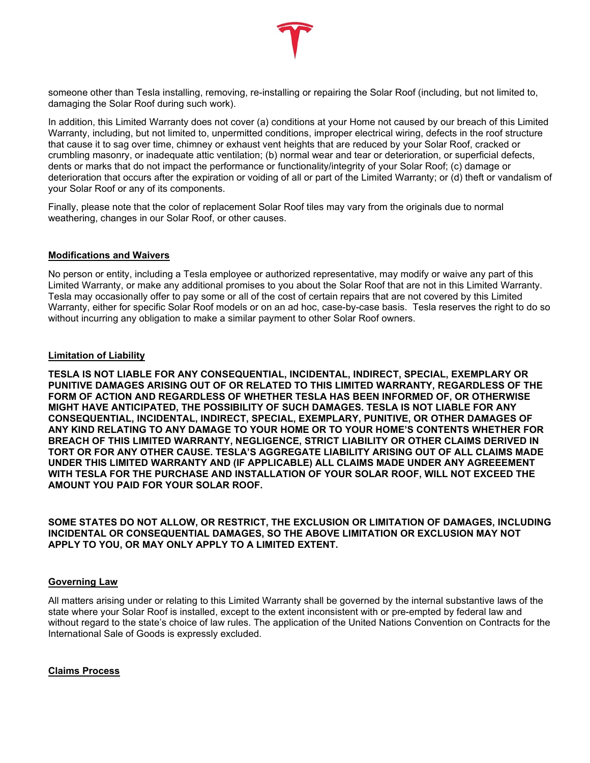

In addition, this Limited Warranty does not cover (a) conditions at your Home not caused by our breach of this Limited Warranty, including, but not limited to, unpermitted conditions, improper electrical wiring, defects in the roof structure that cause it to sag over time, chimney or exhaust vent heights that are reduced by your Solar Roof, cracked or crumbling masonry, or inadequate attic ventilation; (b) normal wear and tear or deterioration, or superficial defects, dents or marks that do not impact the performance or functionality/integrity of your Solar Roof; (c) damage or deterioration that occurs after the expiration or voiding of all or part of the Limited Warranty; or (d) theft or vandalism of your Solar Roof or any of its components.

Finally, please note that the color of replacement Solar Roof tiles may vary from the originals due to normal weathering, changes in our Solar Roof, or other causes.

#### **Modifications and Waivers**

No person or entity, including a Tesla employee or authorized representative, may modify or waive any part of this Limited Warranty, or make any additional promises to you about the Solar Roof that are not in this Limited Warranty. Tesla may occasionally offer to pay some or all of the cost of certain repairs that are not covered by this Limited Warranty, either for specific Solar Roof models or on an ad hoc, case-by-case basis. Tesla reserves the right to do so without incurring any obligation to make a similar payment to other Solar Roof owners.

#### **Limitation of Liability**

**TESLA IS NOT LIABLE FOR ANY CONSEQUENTIAL, INCIDENTAL, INDIRECT, SPECIAL, EXEMPLARY OR PUNITIVE DAMAGES ARISING OUT OF OR RELATED TO THIS LIMITED WARRANTY, REGARDLESS OF THE FORM OF ACTION AND REGARDLESS OF WHETHER TESLA HAS BEEN INFORMED OF, OR OTHERWISE MIGHT HAVE ANTICIPATED, THE POSSIBILITY OF SUCH DAMAGES. TESLA IS NOT LIABLE FOR ANY CONSEQUENTIAL, INCIDENTAL, INDIRECT, SPECIAL, EXEMPLARY, PUNITIVE, OR OTHER DAMAGES OF ANY KIND RELATING TO ANY DAMAGE TO YOUR HOME OR TO YOUR HOME'S CONTENTS WHETHER FOR BREACH OF THIS LIMITED WARRANTY, NEGLIGENCE, STRICT LIABILITY OR OTHER CLAIMS DERIVED IN TORT OR FOR ANY OTHER CAUSE. TESLA'S AGGREGATE LIABILITY ARISING OUT OF ALL CLAIMS MADE UNDER THIS LIMITED WARRANTY AND (IF APPLICABLE) ALL CLAIMS MADE UNDER ANY AGREEEMENT WITH TESLA FOR THE PURCHASE AND INSTALLATION OF YOUR SOLAR ROOF, WILL NOT EXCEED THE AMOUNT YOU PAID FOR YOUR SOLAR ROOF.**

**SOME STATES DO NOT ALLOW, OR RESTRICT, THE EXCLUSION OR LIMITATION OF DAMAGES, INCLUDING INCIDENTAL OR CONSEQUENTIAL DAMAGES, SO THE ABOVE LIMITATION OR EXCLUSION MAY NOT APPLY TO YOU, OR MAY ONLY APPLY TO A LIMITED EXTENT.**

#### **Governing Law**

All matters arising under or relating to this Limited Warranty shall be governed by the internal substantive laws of the state where your Solar Roof is installed, except to the extent inconsistent with or pre-empted by federal law and without regard to the state's choice of law rules. The application of the United Nations Convention on Contracts for the International Sale of Goods is expressly excluded.

# **Claims Process**